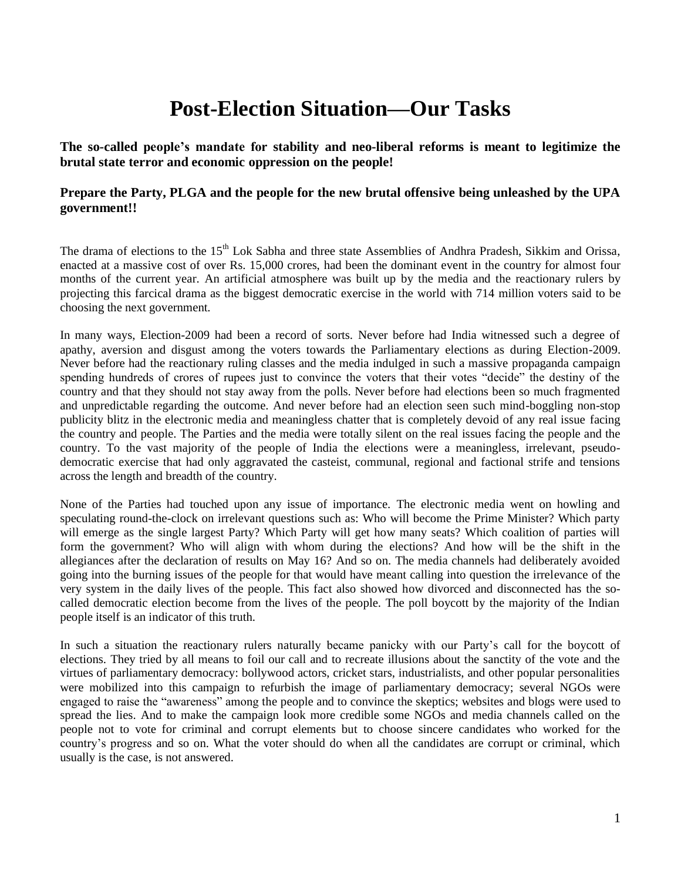# **Post-Election Situation—Our Tasks**

**The so-called people's mandate for stability and neo-liberal reforms is meant to legitimize the brutal state terror and economic oppression on the people!**

# **Prepare the Party, PLGA and the people for the new brutal offensive being unleashed by the UPA government!!**

The drama of elections to the 15<sup>th</sup> Lok Sabha and three state Assemblies of Andhra Pradesh, Sikkim and Orissa, enacted at a massive cost of over Rs. 15,000 crores, had been the dominant event in the country for almost four months of the current year. An artificial atmosphere was built up by the media and the reactionary rulers by projecting this farcical drama as the biggest democratic exercise in the world with 714 million voters said to be choosing the next government.

In many ways, Election-2009 had been a record of sorts. Never before had India witnessed such a degree of apathy, aversion and disgust among the voters towards the Parliamentary elections as during Election-2009. Never before had the reactionary ruling classes and the media indulged in such a massive propaganda campaign spending hundreds of crores of rupees just to convince the voters that their votes "decide" the destiny of the country and that they should not stay away from the polls. Never before had elections been so much fragmented and unpredictable regarding the outcome. And never before had an election seen such mind-boggling non-stop publicity blitz in the electronic media and meaningless chatter that is completely devoid of any real issue facing the country and people. The Parties and the media were totally silent on the real issues facing the people and the country. To the vast majority of the people of India the elections were a meaningless, irrelevant, pseudodemocratic exercise that had only aggravated the casteist, communal, regional and factional strife and tensions across the length and breadth of the country.

None of the Parties had touched upon any issue of importance. The electronic media went on howling and speculating round-the-clock on irrelevant questions such as: Who will become the Prime Minister? Which party will emerge as the single largest Party? Which Party will get how many seats? Which coalition of parties will form the government? Who will align with whom during the elections? And how will be the shift in the allegiances after the declaration of results on May 16? And so on. The media channels had deliberately avoided going into the burning issues of the people for that would have meant calling into question the irrelevance of the very system in the daily lives of the people. This fact also showed how divorced and disconnected has the socalled democratic election become from the lives of the people. The poll boycott by the majority of the Indian people itself is an indicator of this truth.

In such a situation the reactionary rulers naturally became panicky with our Party"s call for the boycott of elections. They tried by all means to foil our call and to recreate illusions about the sanctity of the vote and the virtues of parliamentary democracy: bollywood actors, cricket stars, industrialists, and other popular personalities were mobilized into this campaign to refurbish the image of parliamentary democracy; several NGOs were engaged to raise the "awareness" among the people and to convince the skeptics; websites and blogs were used to spread the lies. And to make the campaign look more credible some NGOs and media channels called on the people not to vote for criminal and corrupt elements but to choose sincere candidates who worked for the country"s progress and so on. What the voter should do when all the candidates are corrupt or criminal, which usually is the case, is not answered.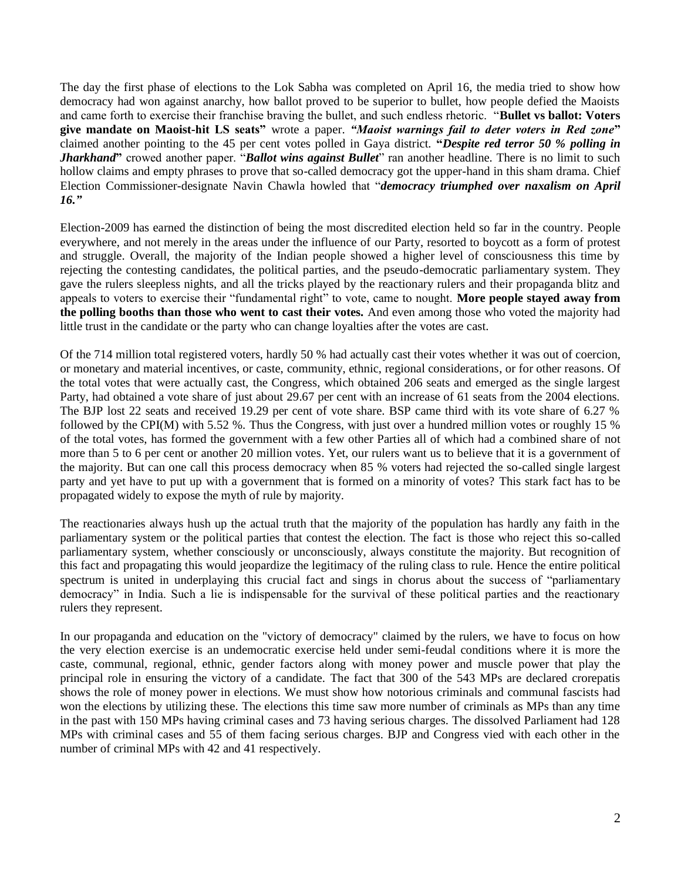The day the first phase of elections to the Lok Sabha was completed on April 16, the media tried to show how democracy had won against anarchy, how ballot proved to be superior to bullet, how people defied the Maoists and came forth to exercise their franchise braving the bullet, and such endless rhetoric. "**Bullet vs ballot: Voters give mandate on Maoist-hit LS seats"** wrote a paper. *"Maoist warnings fail to deter voters in Red zone***"**  claimed another pointing to the 45 per cent votes polled in Gaya district. **"***Despite red terror 50 % polling in Jharkhand*" crowed another paper. "*Ballot wins against Bullet*" ran another headline. There is no limit to such hollow claims and empty phrases to prove that so-called democracy got the upper-hand in this sham drama. Chief Election Commissioner-designate Navin Chawla howled that "*democracy triumphed over naxalism on April 16."*

Election-2009 has earned the distinction of being the most discredited election held so far in the country. People everywhere, and not merely in the areas under the influence of our Party, resorted to boycott as a form of protest and struggle. Overall, the majority of the Indian people showed a higher level of consciousness this time by rejecting the contesting candidates, the political parties, and the pseudo-democratic parliamentary system. They gave the rulers sleepless nights, and all the tricks played by the reactionary rulers and their propaganda blitz and appeals to voters to exercise their "fundamental right" to vote, came to nought. **More people stayed away from the polling booths than those who went to cast their votes.** And even among those who voted the majority had little trust in the candidate or the party who can change loyalties after the votes are cast.

Of the 714 million total registered voters, hardly 50 % had actually cast their votes whether it was out of coercion, or monetary and material incentives, or caste, community, ethnic, regional considerations, or for other reasons. Of the total votes that were actually cast, the Congress, which obtained 206 seats and emerged as the single largest Party, had obtained a vote share of just about 29.67 per cent with an increase of 61 seats from the 2004 elections. The BJP lost 22 seats and received 19.29 per cent of vote share. BSP came third with its vote share of 6.27 % followed by the CPI(M) with 5.52 %. Thus the Congress, with just over a hundred million votes or roughly 15 % of the total votes, has formed the government with a few other Parties all of which had a combined share of not more than 5 to 6 per cent or another 20 million votes. Yet, our rulers want us to believe that it is a government of the majority. But can one call this process democracy when 85 % voters had rejected the so-called single largest party and yet have to put up with a government that is formed on a minority of votes? This stark fact has to be propagated widely to expose the myth of rule by majority.

The reactionaries always hush up the actual truth that the majority of the population has hardly any faith in the parliamentary system or the political parties that contest the election. The fact is those who reject this so-called parliamentary system, whether consciously or unconsciously, always constitute the majority. But recognition of this fact and propagating this would jeopardize the legitimacy of the ruling class to rule. Hence the entire political spectrum is united in underplaying this crucial fact and sings in chorus about the success of "parliamentary democracy" in India. Such a lie is indispensable for the survival of these political parties and the reactionary rulers they represent.

In our propaganda and education on the "victory of democracy" claimed by the rulers, we have to focus on how the very election exercise is an undemocratic exercise held under semi-feudal conditions where it is more the caste, communal, regional, ethnic, gender factors along with money power and muscle power that play the principal role in ensuring the victory of a candidate. The fact that 300 of the 543 MPs are declared crorepatis shows the role of money power in elections. We must show how notorious criminals and communal fascists had won the elections by utilizing these. The elections this time saw more number of criminals as MPs than any time in the past with 150 MPs having criminal cases and 73 having serious charges. The dissolved Parliament had 128 MPs with criminal cases and 55 of them facing serious charges. BJP and Congress vied with each other in the number of criminal MPs with 42 and 41 respectively.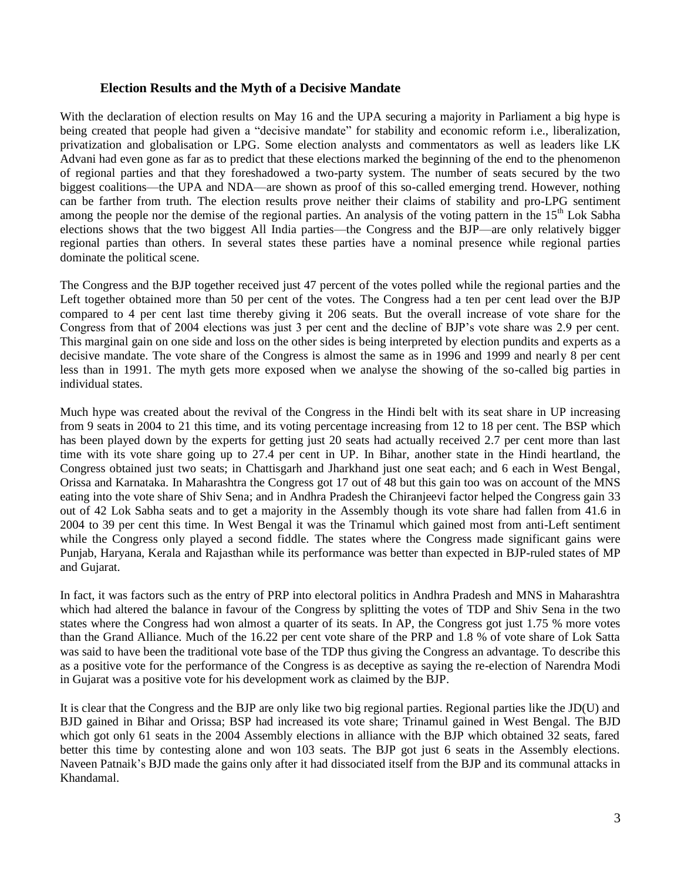#### **Election Results and the Myth of a Decisive Mandate**

With the declaration of election results on May 16 and the UPA securing a majority in Parliament a big hype is being created that people had given a "decisive mandate" for stability and economic reform i.e., liberalization, privatization and globalisation or LPG. Some election analysts and commentators as well as leaders like LK Advani had even gone as far as to predict that these elections marked the beginning of the end to the phenomenon of regional parties and that they foreshadowed a two-party system. The number of seats secured by the two biggest coalitions—the UPA and NDA—are shown as proof of this so-called emerging trend. However, nothing can be farther from truth. The election results prove neither their claims of stability and pro-LPG sentiment among the people nor the demise of the regional parties. An analysis of the voting pattern in the  $15<sup>th</sup>$  Lok Sabha elections shows that the two biggest All India parties—the Congress and the BJP—are only relatively bigger regional parties than others. In several states these parties have a nominal presence while regional parties dominate the political scene.

The Congress and the BJP together received just 47 percent of the votes polled while the regional parties and the Left together obtained more than 50 per cent of the votes. The Congress had a ten per cent lead over the BJP compared to 4 per cent last time thereby giving it 206 seats. But the overall increase of vote share for the Congress from that of 2004 elections was just 3 per cent and the decline of BJP"s vote share was 2.9 per cent. This marginal gain on one side and loss on the other sides is being interpreted by election pundits and experts as a decisive mandate. The vote share of the Congress is almost the same as in 1996 and 1999 and nearly 8 per cent less than in 1991. The myth gets more exposed when we analyse the showing of the so-called big parties in individual states.

Much hype was created about the revival of the Congress in the Hindi belt with its seat share in UP increasing from 9 seats in 2004 to 21 this time, and its voting percentage increasing from 12 to 18 per cent. The BSP which has been played down by the experts for getting just 20 seats had actually received 2.7 per cent more than last time with its vote share going up to 27.4 per cent in UP. In Bihar, another state in the Hindi heartland, the Congress obtained just two seats; in Chattisgarh and Jharkhand just one seat each; and 6 each in West Bengal, Orissa and Karnataka. In Maharashtra the Congress got 17 out of 48 but this gain too was on account of the MNS eating into the vote share of Shiv Sena; and in Andhra Pradesh the Chiranjeevi factor helped the Congress gain 33 out of 42 Lok Sabha seats and to get a majority in the Assembly though its vote share had fallen from 41.6 in 2004 to 39 per cent this time. In West Bengal it was the Trinamul which gained most from anti-Left sentiment while the Congress only played a second fiddle. The states where the Congress made significant gains were Punjab, Haryana, Kerala and Rajasthan while its performance was better than expected in BJP-ruled states of MP and Gujarat.

In fact, it was factors such as the entry of PRP into electoral politics in Andhra Pradesh and MNS in Maharashtra which had altered the balance in favour of the Congress by splitting the votes of TDP and Shiv Sena in the two states where the Congress had won almost a quarter of its seats. In AP, the Congress got just 1.75 % more votes than the Grand Alliance. Much of the 16.22 per cent vote share of the PRP and 1.8 % of vote share of Lok Satta was said to have been the traditional vote base of the TDP thus giving the Congress an advantage. To describe this as a positive vote for the performance of the Congress is as deceptive as saying the re-election of Narendra Modi in Gujarat was a positive vote for his development work as claimed by the BJP.

It is clear that the Congress and the BJP are only like two big regional parties. Regional parties like the JD(U) and BJD gained in Bihar and Orissa; BSP had increased its vote share; Trinamul gained in West Bengal. The BJD which got only 61 seats in the 2004 Assembly elections in alliance with the BJP which obtained 32 seats, fared better this time by contesting alone and won 103 seats. The BJP got just 6 seats in the Assembly elections. Naveen Patnaik"s BJD made the gains only after it had dissociated itself from the BJP and its communal attacks in Khandamal.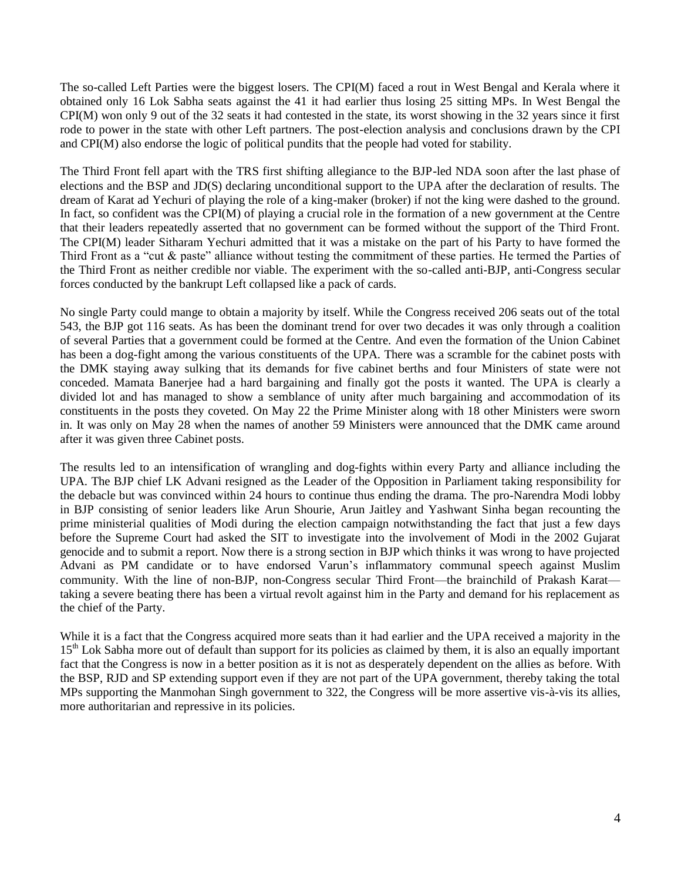The so-called Left Parties were the biggest losers. The CPI(M) faced a rout in West Bengal and Kerala where it obtained only 16 Lok Sabha seats against the 41 it had earlier thus losing 25 sitting MPs. In West Bengal the CPI(M) won only 9 out of the 32 seats it had contested in the state, its worst showing in the 32 years since it first rode to power in the state with other Left partners. The post-election analysis and conclusions drawn by the CPI and CPI(M) also endorse the logic of political pundits that the people had voted for stability.

The Third Front fell apart with the TRS first shifting allegiance to the BJP-led NDA soon after the last phase of elections and the BSP and JD(S) declaring unconditional support to the UPA after the declaration of results. The dream of Karat ad Yechuri of playing the role of a king-maker (broker) if not the king were dashed to the ground. In fact, so confident was the CPI(M) of playing a crucial role in the formation of a new government at the Centre that their leaders repeatedly asserted that no government can be formed without the support of the Third Front. The CPI(M) leader Sitharam Yechuri admitted that it was a mistake on the part of his Party to have formed the Third Front as a "cut & paste" alliance without testing the commitment of these parties. He termed the Parties of the Third Front as neither credible nor viable. The experiment with the so-called anti-BJP, anti-Congress secular forces conducted by the bankrupt Left collapsed like a pack of cards.

No single Party could mange to obtain a majority by itself. While the Congress received 206 seats out of the total 543, the BJP got 116 seats. As has been the dominant trend for over two decades it was only through a coalition of several Parties that a government could be formed at the Centre. And even the formation of the Union Cabinet has been a dog-fight among the various constituents of the UPA. There was a scramble for the cabinet posts with the DMK staying away sulking that its demands for five cabinet berths and four Ministers of state were not conceded. Mamata Banerjee had a hard bargaining and finally got the posts it wanted. The UPA is clearly a divided lot and has managed to show a semblance of unity after much bargaining and accommodation of its constituents in the posts they coveted. On May 22 the Prime Minister along with 18 other Ministers were sworn in. It was only on May 28 when the names of another 59 Ministers were announced that the DMK came around after it was given three Cabinet posts.

The results led to an intensification of wrangling and dog-fights within every Party and alliance including the UPA. The BJP chief LK Advani resigned as the Leader of the Opposition in Parliament taking responsibility for the debacle but was convinced within 24 hours to continue thus ending the drama. The pro-Narendra Modi lobby in BJP consisting of senior leaders like Arun Shourie, Arun Jaitley and Yashwant Sinha began recounting the prime ministerial qualities of Modi during the election campaign notwithstanding the fact that just a few days before the Supreme Court had asked the SIT to investigate into the involvement of Modi in the 2002 Gujarat genocide and to submit a report. Now there is a strong section in BJP which thinks it was wrong to have projected Advani as PM candidate or to have endorsed Varun's inflammatory communal speech against Muslim community. With the line of non-BJP, non-Congress secular Third Front—the brainchild of Prakash Karat taking a severe beating there has been a virtual revolt against him in the Party and demand for his replacement as the chief of the Party.

While it is a fact that the Congress acquired more seats than it had earlier and the UPA received a majority in the 15<sup>th</sup> Lok Sabha more out of default than support for its policies as claimed by them, it is also an equally important fact that the Congress is now in a better position as it is not as desperately dependent on the allies as before. With the BSP, RJD and SP extending support even if they are not part of the UPA government, thereby taking the total MPs supporting the Manmohan Singh government to 322, the Congress will be more assertive vis-à-vis its allies, more authoritarian and repressive in its policies.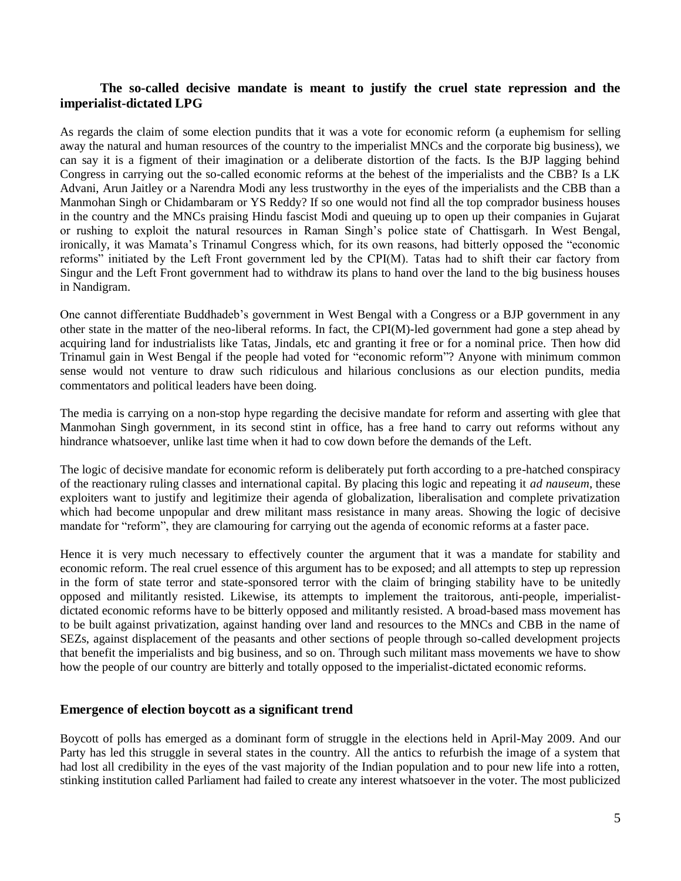## **The so-called decisive mandate is meant to justify the cruel state repression and the imperialist-dictated LPG**

As regards the claim of some election pundits that it was a vote for economic reform (a euphemism for selling away the natural and human resources of the country to the imperialist MNCs and the corporate big business), we can say it is a figment of their imagination or a deliberate distortion of the facts. Is the BJP lagging behind Congress in carrying out the so-called economic reforms at the behest of the imperialists and the CBB? Is a LK Advani, Arun Jaitley or a Narendra Modi any less trustworthy in the eyes of the imperialists and the CBB than a Manmohan Singh or Chidambaram or YS Reddy? If so one would not find all the top comprador business houses in the country and the MNCs praising Hindu fascist Modi and queuing up to open up their companies in Gujarat or rushing to exploit the natural resources in Raman Singh"s police state of Chattisgarh. In West Bengal, ironically, it was Mamata's Trinamul Congress which, for its own reasons, had bitterly opposed the "economic reforms" initiated by the Left Front government led by the CPI(M). Tatas had to shift their car factory from Singur and the Left Front government had to withdraw its plans to hand over the land to the big business houses in Nandigram.

One cannot differentiate Buddhadeb"s government in West Bengal with a Congress or a BJP government in any other state in the matter of the neo-liberal reforms. In fact, the CPI(M)-led government had gone a step ahead by acquiring land for industrialists like Tatas, Jindals, etc and granting it free or for a nominal price. Then how did Trinamul gain in West Bengal if the people had voted for "economic reform"? Anyone with minimum common sense would not venture to draw such ridiculous and hilarious conclusions as our election pundits, media commentators and political leaders have been doing.

The media is carrying on a non-stop hype regarding the decisive mandate for reform and asserting with glee that Manmohan Singh government, in its second stint in office, has a free hand to carry out reforms without any hindrance whatsoever, unlike last time when it had to cow down before the demands of the Left.

The logic of decisive mandate for economic reform is deliberately put forth according to a pre-hatched conspiracy of the reactionary ruling classes and international capital. By placing this logic and repeating it *ad nauseum*, these exploiters want to justify and legitimize their agenda of globalization, liberalisation and complete privatization which had become unpopular and drew militant mass resistance in many areas. Showing the logic of decisive mandate for "reform", they are clamouring for carrying out the agenda of economic reforms at a faster pace.

Hence it is very much necessary to effectively counter the argument that it was a mandate for stability and economic reform. The real cruel essence of this argument has to be exposed; and all attempts to step up repression in the form of state terror and state-sponsored terror with the claim of bringing stability have to be unitedly opposed and militantly resisted. Likewise, its attempts to implement the traitorous, anti-people, imperialistdictated economic reforms have to be bitterly opposed and militantly resisted. A broad-based mass movement has to be built against privatization, against handing over land and resources to the MNCs and CBB in the name of SEZs, against displacement of the peasants and other sections of people through so-called development projects that benefit the imperialists and big business, and so on. Through such militant mass movements we have to show how the people of our country are bitterly and totally opposed to the imperialist-dictated economic reforms.

#### **Emergence of election boycott as a significant trend**

Boycott of polls has emerged as a dominant form of struggle in the elections held in April-May 2009. And our Party has led this struggle in several states in the country. All the antics to refurbish the image of a system that had lost all credibility in the eyes of the vast majority of the Indian population and to pour new life into a rotten, stinking institution called Parliament had failed to create any interest whatsoever in the voter. The most publicized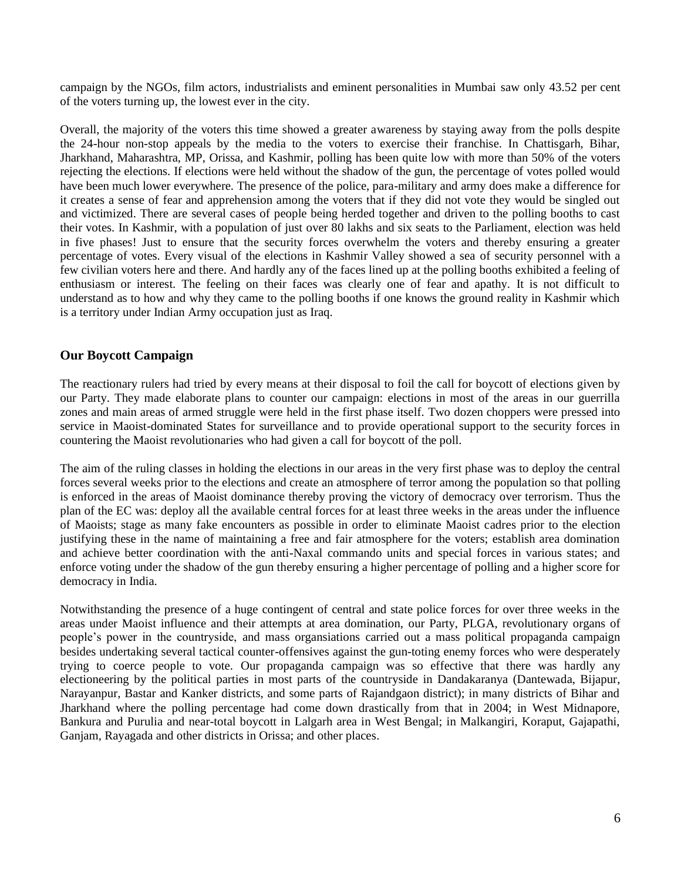campaign by the NGOs, film actors, industrialists and eminent personalities in Mumbai saw only 43.52 per cent of the voters turning up, the lowest ever in the city.

Overall, the majority of the voters this time showed a greater awareness by staying away from the polls despite the 24-hour non-stop appeals by the media to the voters to exercise their franchise. In Chattisgarh, Bihar, Jharkhand, Maharashtra, MP, Orissa, and Kashmir, polling has been quite low with more than 50% of the voters rejecting the elections. If elections were held without the shadow of the gun, the percentage of votes polled would have been much lower everywhere. The presence of the police, para-military and army does make a difference for it creates a sense of fear and apprehension among the voters that if they did not vote they would be singled out and victimized. There are several cases of people being herded together and driven to the polling booths to cast their votes. In Kashmir, with a population of just over 80 lakhs and six seats to the Parliament, election was held in five phases! Just to ensure that the security forces overwhelm the voters and thereby ensuring a greater percentage of votes. Every visual of the elections in Kashmir Valley showed a sea of security personnel with a few civilian voters here and there. And hardly any of the faces lined up at the polling booths exhibited a feeling of enthusiasm or interest. The feeling on their faces was clearly one of fear and apathy. It is not difficult to understand as to how and why they came to the polling booths if one knows the ground reality in Kashmir which is a territory under Indian Army occupation just as Iraq.

# **Our Boycott Campaign**

The reactionary rulers had tried by every means at their disposal to foil the call for boycott of elections given by our Party. They made elaborate plans to counter our campaign: elections in most of the areas in our guerrilla zones and main areas of armed struggle were held in the first phase itself. Two dozen choppers were pressed into service in Maoist-dominated States for surveillance and to provide operational support to the security forces in countering the Maoist revolutionaries who had given a call for boycott of the poll.

The aim of the ruling classes in holding the elections in our areas in the very first phase was to deploy the central forces several weeks prior to the elections and create an atmosphere of terror among the population so that polling is enforced in the areas of Maoist dominance thereby proving the victory of democracy over terrorism. Thus the plan of the EC was: deploy all the available central forces for at least three weeks in the areas under the influence of Maoists; stage as many fake encounters as possible in order to eliminate Maoist cadres prior to the election justifying these in the name of maintaining a free and fair atmosphere for the voters; establish area domination and achieve better coordination with the anti-Naxal commando units and special forces in various states; and enforce voting under the shadow of the gun thereby ensuring a higher percentage of polling and a higher score for democracy in India.

Notwithstanding the presence of a huge contingent of central and state police forces for over three weeks in the areas under Maoist influence and their attempts at area domination, our Party, PLGA, revolutionary organs of people"s power in the countryside, and mass organsiations carried out a mass political propaganda campaign besides undertaking several tactical counter-offensives against the gun-toting enemy forces who were desperately trying to coerce people to vote. Our propaganda campaign was so effective that there was hardly any electioneering by the political parties in most parts of the countryside in Dandakaranya (Dantewada, Bijapur, Narayanpur, Bastar and Kanker districts, and some parts of Rajandgaon district); in many districts of Bihar and Jharkhand where the polling percentage had come down drastically from that in 2004; in West Midnapore, Bankura and Purulia and near-total boycott in Lalgarh area in West Bengal; in Malkangiri, Koraput, Gajapathi, Ganjam, Rayagada and other districts in Orissa; and other places.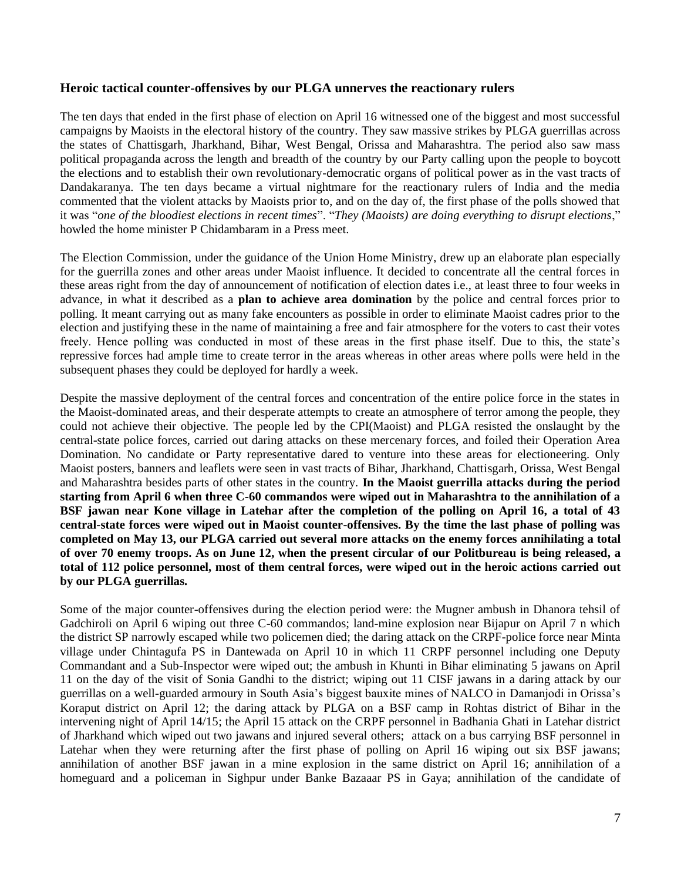## **Heroic tactical counter-offensives by our PLGA unnerves the reactionary rulers**

The ten days that ended in the first phase of election on April 16 witnessed one of the biggest and most successful campaigns by Maoists in the electoral history of the country. They saw massive strikes by PLGA guerrillas across the states of Chattisgarh, Jharkhand, Bihar, West Bengal, Orissa and Maharashtra. The period also saw mass political propaganda across the length and breadth of the country by our Party calling upon the people to boycott the elections and to establish their own revolutionary-democratic organs of political power as in the vast tracts of Dandakaranya. The ten days became a virtual nightmare for the reactionary rulers of India and the media commented that the violent attacks by Maoists prior to, and on the day of, the first phase of the polls showed that it was "*one of the bloodiest elections in recent times*". "*They (Maoists) are doing everything to disrupt elections*," howled the home minister P Chidambaram in a Press meet.

The Election Commission, under the guidance of the Union Home Ministry, drew up an elaborate plan especially for the guerrilla zones and other areas under Maoist influence. It decided to concentrate all the central forces in these areas right from the day of announcement of notification of election dates i.e., at least three to four weeks in advance, in what it described as a **plan to achieve area domination** by the police and central forces prior to polling. It meant carrying out as many fake encounters as possible in order to eliminate Maoist cadres prior to the election and justifying these in the name of maintaining a free and fair atmosphere for the voters to cast their votes freely. Hence polling was conducted in most of these areas in the first phase itself. Due to this, the state's repressive forces had ample time to create terror in the areas whereas in other areas where polls were held in the subsequent phases they could be deployed for hardly a week.

Despite the massive deployment of the central forces and concentration of the entire police force in the states in the Maoist-dominated areas, and their desperate attempts to create an atmosphere of terror among the people, they could not achieve their objective. The people led by the CPI(Maoist) and PLGA resisted the onslaught by the central-state police forces, carried out daring attacks on these mercenary forces, and foiled their Operation Area Domination. No candidate or Party representative dared to venture into these areas for electioneering. Only Maoist posters, banners and leaflets were seen in vast tracts of Bihar, Jharkhand, Chattisgarh, Orissa, West Bengal and Maharashtra besides parts of other states in the country. **In the Maoist guerrilla attacks during the period starting from April 6 when three C-60 commandos were wiped out in Maharashtra to the annihilation of a BSF jawan near Kone village in Latehar after the completion of the polling on April 16, a total of 43 central-state forces were wiped out in Maoist counter-offensives. By the time the last phase of polling was completed on May 13, our PLGA carried out several more attacks on the enemy forces annihilating a total of over 70 enemy troops. As on June 12, when the present circular of our Politbureau is being released, a total of 112 police personnel, most of them central forces, were wiped out in the heroic actions carried out by our PLGA guerrillas.** 

Some of the major counter-offensives during the election period were: the Mugner ambush in Dhanora tehsil of Gadchiroli on April 6 wiping out three C-60 commandos; land-mine explosion near Bijapur on April 7 n which the district SP narrowly escaped while two policemen died; the daring attack on the CRPF-police force near Minta village under Chintagufa PS in Dantewada on April 10 in which 11 CRPF personnel including one Deputy Commandant and a Sub-Inspector were wiped out; the ambush in Khunti in Bihar eliminating 5 jawans on April 11 on the day of the visit of Sonia Gandhi to the district; wiping out 11 CISF jawans in a daring attack by our guerrillas on a well-guarded armoury in South Asia"s biggest bauxite mines of NALCO in Damanjodi in Orissa"s Koraput district on April 12; the daring attack by PLGA on a BSF camp in Rohtas district of Bihar in the intervening night of April 14/15; the April 15 attack on the CRPF personnel in Badhania Ghati in Latehar district of Jharkhand which wiped out two jawans and injured several others; attack on a bus carrying BSF personnel in Latehar when they were returning after the first phase of polling on April 16 wiping out six BSF jawans; annihilation of another BSF jawan in a mine explosion in the same district on April 16; annihilation of a homeguard and a policeman in Sighpur under Banke Bazaaar PS in Gaya; annihilation of the candidate of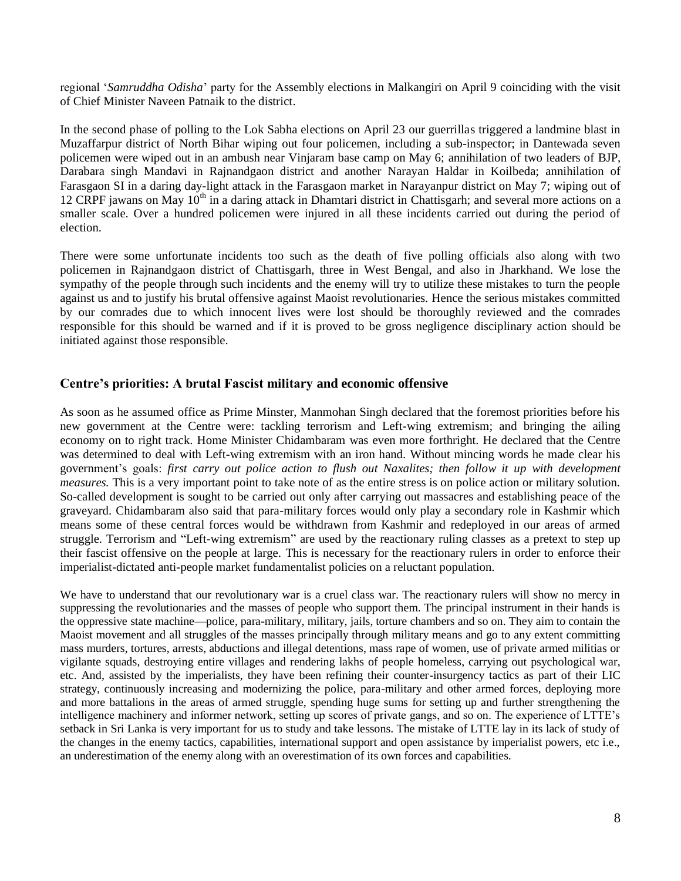regional "*Samruddha Odisha*" party for the Assembly elections in Malkangiri on April 9 coinciding with the visit of Chief Minister Naveen Patnaik to the district.

In the second phase of polling to the Lok Sabha elections on April 23 our guerrillas triggered a landmine blast in Muzaffarpur district of North Bihar wiping out four policemen, including a sub-inspector; in Dantewada seven policemen were wiped out in an ambush near Vinjaram base camp on May 6; annihilation of two leaders of BJP, Darabara singh Mandavi in Rajnandgaon district and another Narayan Haldar in Koilbeda; annihilation of Farasgaon SI in a daring day-light attack in the Farasgaon market in Narayanpur district on May 7; wiping out of 12 CRPF jawans on May 10<sup>th</sup> in a daring attack in Dhamtari district in Chattisgarh; and several more actions on a smaller scale. Over a hundred policemen were injured in all these incidents carried out during the period of election.

There were some unfortunate incidents too such as the death of five polling officials also along with two policemen in Rajnandgaon district of Chattisgarh, three in West Bengal, and also in Jharkhand. We lose the sympathy of the people through such incidents and the enemy will try to utilize these mistakes to turn the people against us and to justify his brutal offensive against Maoist revolutionaries. Hence the serious mistakes committed by our comrades due to which innocent lives were lost should be thoroughly reviewed and the comrades responsible for this should be warned and if it is proved to be gross negligence disciplinary action should be initiated against those responsible.

# **Centre's priorities: A brutal Fascist military and economic offensive**

As soon as he assumed office as Prime Minster, Manmohan Singh declared that the foremost priorities before his new government at the Centre were: tackling terrorism and Left-wing extremism; and bringing the ailing economy on to right track. Home Minister Chidambaram was even more forthright. He declared that the Centre was determined to deal with Left-wing extremism with an iron hand. Without mincing words he made clear his government"s goals: *first carry out police action to flush out Naxalites; then follow it up with development measures.* This is a very important point to take note of as the entire stress is on police action or military solution. So-called development is sought to be carried out only after carrying out massacres and establishing peace of the graveyard. Chidambaram also said that para-military forces would only play a secondary role in Kashmir which means some of these central forces would be withdrawn from Kashmir and redeployed in our areas of armed struggle. Terrorism and "Left-wing extremism" are used by the reactionary ruling classes as a pretext to step up their fascist offensive on the people at large. This is necessary for the reactionary rulers in order to enforce their imperialist-dictated anti-people market fundamentalist policies on a reluctant population.

We have to understand that our revolutionary war is a cruel class war. The reactionary rulers will show no mercy in suppressing the revolutionaries and the masses of people who support them. The principal instrument in their hands is the oppressive state machine—police, para-military, military, jails, torture chambers and so on. They aim to contain the Maoist movement and all struggles of the masses principally through military means and go to any extent committing mass murders, tortures, arrests, abductions and illegal detentions, mass rape of women, use of private armed militias or vigilante squads, destroying entire villages and rendering lakhs of people homeless, carrying out psychological war, etc. And, assisted by the imperialists, they have been refining their counter-insurgency tactics as part of their LIC strategy, continuously increasing and modernizing the police, para-military and other armed forces, deploying more and more battalions in the areas of armed struggle, spending huge sums for setting up and further strengthening the intelligence machinery and informer network, setting up scores of private gangs, and so on. The experience of LTTE's setback in Sri Lanka is very important for us to study and take lessons. The mistake of LTTE lay in its lack of study of the changes in the enemy tactics, capabilities, international support and open assistance by imperialist powers, etc i.e., an underestimation of the enemy along with an overestimation of its own forces and capabilities.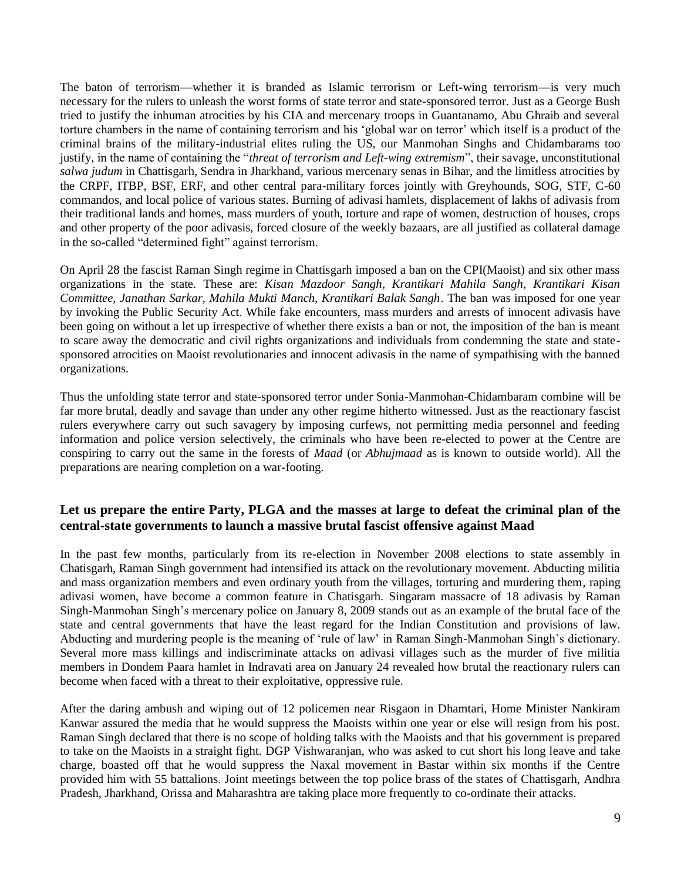The baton of terrorism—whether it is branded as Islamic terrorism or Left-wing terrorism—is very much necessary for the rulers to unleash the worst forms of state terror and state-sponsored terror. Just as a George Bush tried to justify the inhuman atrocities by his CIA and mercenary troops in Guantanamo, Abu Ghraib and several torture chambers in the name of containing terrorism and his "global war on terror" which itself is a product of the criminal brains of the military-industrial elites ruling the US, our Manmohan Singhs and Chidambarams too justify, in the name of containing the "*threat of terrorism and Left-wing extremism*", their savage, unconstitutional *salwa judum* in Chattisgarh, Sendra in Jharkhand, various mercenary senas in Bihar, and the limitless atrocities by the CRPF, ITBP, BSF, ERF, and other central para-military forces jointly with Greyhounds, SOG, STF, C-60 commandos, and local police of various states. Burning of adivasi hamlets, displacement of lakhs of adivasis from their traditional lands and homes, mass murders of youth, torture and rape of women, destruction of houses, crops and other property of the poor adivasis, forced closure of the weekly bazaars, are all justified as collateral damage in the so-called "determined fight" against terrorism.

On April 28 the fascist Raman Singh regime in Chattisgarh imposed a ban on the CPI(Maoist) and six other mass organizations in the state. These are: *Kisan Mazdoor Sangh, Krantikari Mahila Sangh, Krantikari Kisan Committee, Janathan Sarkar, Mahila Mukti Manch, Krantikari Balak Sangh*. The ban was imposed for one year by invoking the Public Security Act. While fake encounters, mass murders and arrests of innocent adivasis have been going on without a let up irrespective of whether there exists a ban or not, the imposition of the ban is meant to scare away the democratic and civil rights organizations and individuals from condemning the state and statesponsored atrocities on Maoist revolutionaries and innocent adivasis in the name of sympathising with the banned organizations.

Thus the unfolding state terror and state-sponsored terror under Sonia-Manmohan-Chidambaram combine will be far more brutal, deadly and savage than under any other regime hitherto witnessed. Just as the reactionary fascist rulers everywhere carry out such savagery by imposing curfews, not permitting media personnel and feeding information and police version selectively, the criminals who have been re-elected to power at the Centre are conspiring to carry out the same in the forests of *Maad* (or *Abhujmaad* as is known to outside world). All the preparations are nearing completion on a war-footing.

# **Let us prepare the entire Party, PLGA and the masses at large to defeat the criminal plan of the central-state governments to launch a massive brutal fascist offensive against Maad**

In the past few months, particularly from its re-election in November 2008 elections to state assembly in Chatisgarh, Raman Singh government had intensified its attack on the revolutionary movement. Abducting militia and mass organization members and even ordinary youth from the villages, torturing and murdering them, raping adivasi women, have become a common feature in Chatisgarh. Singaram massacre of 18 adivasis by Raman Singh-Manmohan Singh"s mercenary police on January 8, 2009 stands out as an example of the brutal face of the state and central governments that have the least regard for the Indian Constitution and provisions of law. Abducting and murdering people is the meaning of "rule of law" in Raman Singh-Manmohan Singh"s dictionary. Several more mass killings and indiscriminate attacks on adivasi villages such as the murder of five militia members in Dondem Paara hamlet in Indravati area on January 24 revealed how brutal the reactionary rulers can become when faced with a threat to their exploitative, oppressive rule.

After the daring ambush and wiping out of 12 policemen near Risgaon in Dhamtari, Home Minister Nankiram Kanwar assured the media that he would suppress the Maoists within one year or else will resign from his post. Raman Singh declared that there is no scope of holding talks with the Maoists and that his government is prepared to take on the Maoists in a straight fight. DGP Vishwaranjan, who was asked to cut short his long leave and take charge, boasted off that he would suppress the Naxal movement in Bastar within six months if the Centre provided him with 55 battalions. Joint meetings between the top police brass of the states of Chattisgarh, Andhra Pradesh, Jharkhand, Orissa and Maharashtra are taking place more frequently to co-ordinate their attacks.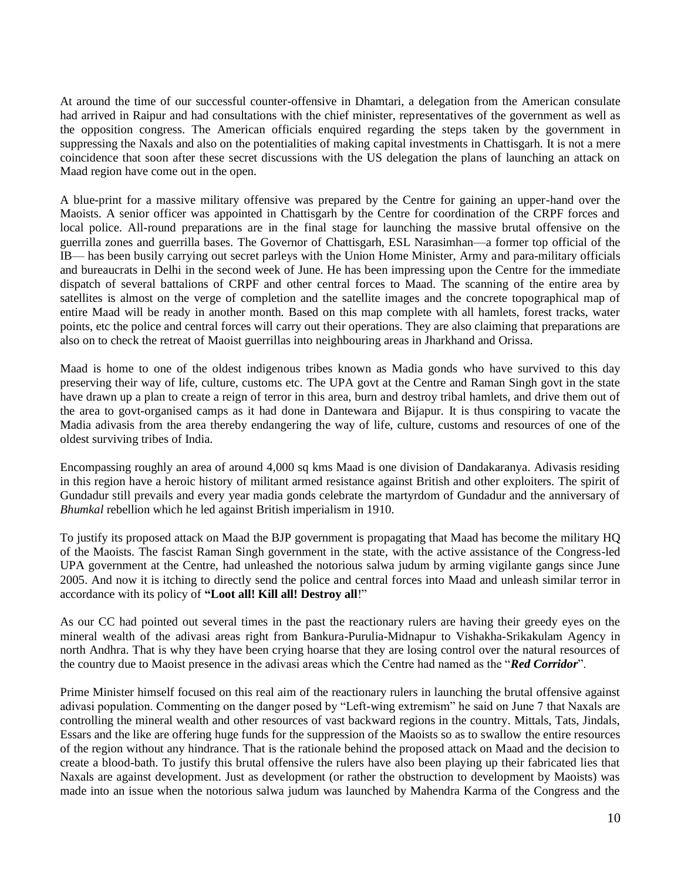At around the time of our successful counter-offensive in Dhamtari, a delegation from the American consulate had arrived in Raipur and had consultations with the chief minister, representatives of the government as well as the opposition congress. The American officials enquired regarding the steps taken by the government in suppressing the Naxals and also on the potentialities of making capital investments in Chattisgarh. It is not a mere coincidence that soon after these secret discussions with the US delegation the plans of launching an attack on Maad region have come out in the open.

A blue-print for a massive military offensive was prepared by the Centre for gaining an upper-hand over the Maoists. A senior officer was appointed in Chattisgarh by the Centre for coordination of the CRPF forces and local police. All-round preparations are in the final stage for launching the massive brutal offensive on the guerrilla zones and guerrilla bases. The Governor of Chattisgarh, ESL Narasimhan—a former top official of the IB— has been busily carrying out secret parleys with the Union Home Minister, Army and para-military officials and bureaucrats in Delhi in the second week of June. He has been impressing upon the Centre for the immediate dispatch of several battalions of CRPF and other central forces to Maad. The scanning of the entire area by satellites is almost on the verge of completion and the satellite images and the concrete topographical map of entire Maad will be ready in another month. Based on this map complete with all hamlets, forest tracks, water points, etc the police and central forces will carry out their operations. They are also claiming that preparations are also on to check the retreat of Maoist guerrillas into neighbouring areas in Jharkhand and Orissa.

Maad is home to one of the oldest indigenous tribes known as Madia gonds who have survived to this day preserving their way of life, culture, customs etc. The UPA govt at the Centre and Raman Singh govt in the state have drawn up a plan to create a reign of terror in this area, burn and destroy tribal hamlets, and drive them out of the area to govt-organised camps as it had done in Dantewara and Bijapur. It is thus conspiring to vacate the Madia adivasis from the area thereby endangering the way of life, culture, customs and resources of one of the oldest surviving tribes of India.

Encompassing roughly an area of around 4,000 sq kms Maad is one division of Dandakaranya. Adivasis residing in this region have a heroic history of militant armed resistance against British and other exploiters. The spirit of Gundadur still prevails and every year madia gonds celebrate the martyrdom of Gundadur and the anniversary of *Bhumkal* rebellion which he led against British imperialism in 1910.

To justify its proposed attack on Maad the BJP government is propagating that Maad has become the military HQ of the Maoists. The fascist Raman Singh government in the state, with the active assistance of the Congress-led UPA government at the Centre, had unleashed the notorious salwa judum by arming vigilante gangs since June 2005. And now it is itching to directly send the police and central forces into Maad and unleash similar terror in accordance with its policy of **"Loot all! Kill all! Destroy all**!"

As our CC had pointed out several times in the past the reactionary rulers are having their greedy eyes on the mineral wealth of the adivasi areas right from Bankura-Purulia-Midnapur to Vishakha-Srikakulam Agency in north Andhra. That is why they have been crying hoarse that they are losing control over the natural resources of the country due to Maoist presence in the adivasi areas which the Centre had named as the "*Red Corridor*".

Prime Minister himself focused on this real aim of the reactionary rulers in launching the brutal offensive against adivasi population. Commenting on the danger posed by "Left-wing extremism" he said on June 7 that Naxals are controlling the mineral wealth and other resources of vast backward regions in the country. Mittals, Tats, Jindals, Essars and the like are offering huge funds for the suppression of the Maoists so as to swallow the entire resources of the region without any hindrance. That is the rationale behind the proposed attack on Maad and the decision to create a blood-bath. To justify this brutal offensive the rulers have also been playing up their fabricated lies that Naxals are against development. Just as development (or rather the obstruction to development by Maoists) was made into an issue when the notorious salwa judum was launched by Mahendra Karma of the Congress and the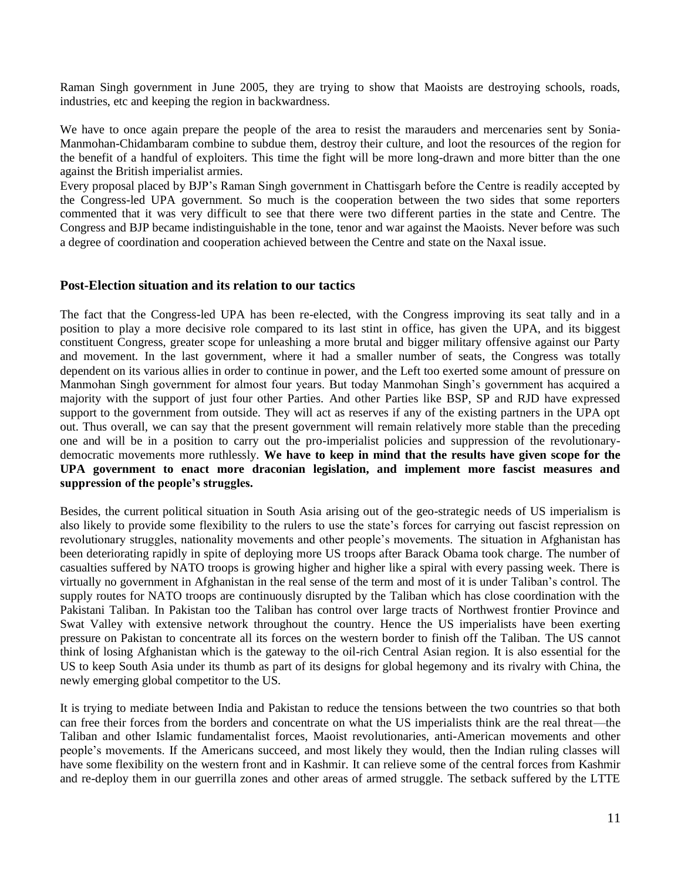Raman Singh government in June 2005, they are trying to show that Maoists are destroying schools, roads, industries, etc and keeping the region in backwardness.

We have to once again prepare the people of the area to resist the marauders and mercenaries sent by Sonia-Manmohan-Chidambaram combine to subdue them, destroy their culture, and loot the resources of the region for the benefit of a handful of exploiters. This time the fight will be more long-drawn and more bitter than the one against the British imperialist armies.

Every proposal placed by BJP"s Raman Singh government in Chattisgarh before the Centre is readily accepted by the Congress-led UPA government. So much is the cooperation between the two sides that some reporters commented that it was very difficult to see that there were two different parties in the state and Centre. The Congress and BJP became indistinguishable in the tone, tenor and war against the Maoists. Never before was such a degree of coordination and cooperation achieved between the Centre and state on the Naxal issue.

#### **Post-Election situation and its relation to our tactics**

The fact that the Congress-led UPA has been re-elected, with the Congress improving its seat tally and in a position to play a more decisive role compared to its last stint in office, has given the UPA, and its biggest constituent Congress, greater scope for unleashing a more brutal and bigger military offensive against our Party and movement. In the last government, where it had a smaller number of seats, the Congress was totally dependent on its various allies in order to continue in power, and the Left too exerted some amount of pressure on Manmohan Singh government for almost four years. But today Manmohan Singh"s government has acquired a majority with the support of just four other Parties. And other Parties like BSP, SP and RJD have expressed support to the government from outside. They will act as reserves if any of the existing partners in the UPA opt out. Thus overall, we can say that the present government will remain relatively more stable than the preceding one and will be in a position to carry out the pro-imperialist policies and suppression of the revolutionarydemocratic movements more ruthlessly. **We have to keep in mind that the results have given scope for the UPA government to enact more draconian legislation, and implement more fascist measures and suppression of the people's struggles.**

Besides, the current political situation in South Asia arising out of the geo-strategic needs of US imperialism is also likely to provide some flexibility to the rulers to use the state"s forces for carrying out fascist repression on revolutionary struggles, nationality movements and other people"s movements. The situation in Afghanistan has been deteriorating rapidly in spite of deploying more US troops after Barack Obama took charge. The number of casualties suffered by NATO troops is growing higher and higher like a spiral with every passing week. There is virtually no government in Afghanistan in the real sense of the term and most of it is under Taliban"s control. The supply routes for NATO troops are continuously disrupted by the Taliban which has close coordination with the Pakistani Taliban. In Pakistan too the Taliban has control over large tracts of Northwest frontier Province and Swat Valley with extensive network throughout the country. Hence the US imperialists have been exerting pressure on Pakistan to concentrate all its forces on the western border to finish off the Taliban. The US cannot think of losing Afghanistan which is the gateway to the oil-rich Central Asian region. It is also essential for the US to keep South Asia under its thumb as part of its designs for global hegemony and its rivalry with China, the newly emerging global competitor to the US.

It is trying to mediate between India and Pakistan to reduce the tensions between the two countries so that both can free their forces from the borders and concentrate on what the US imperialists think are the real threat—the Taliban and other Islamic fundamentalist forces, Maoist revolutionaries, anti-American movements and other people"s movements. If the Americans succeed, and most likely they would, then the Indian ruling classes will have some flexibility on the western front and in Kashmir. It can relieve some of the central forces from Kashmir and re-deploy them in our guerrilla zones and other areas of armed struggle. The setback suffered by the LTTE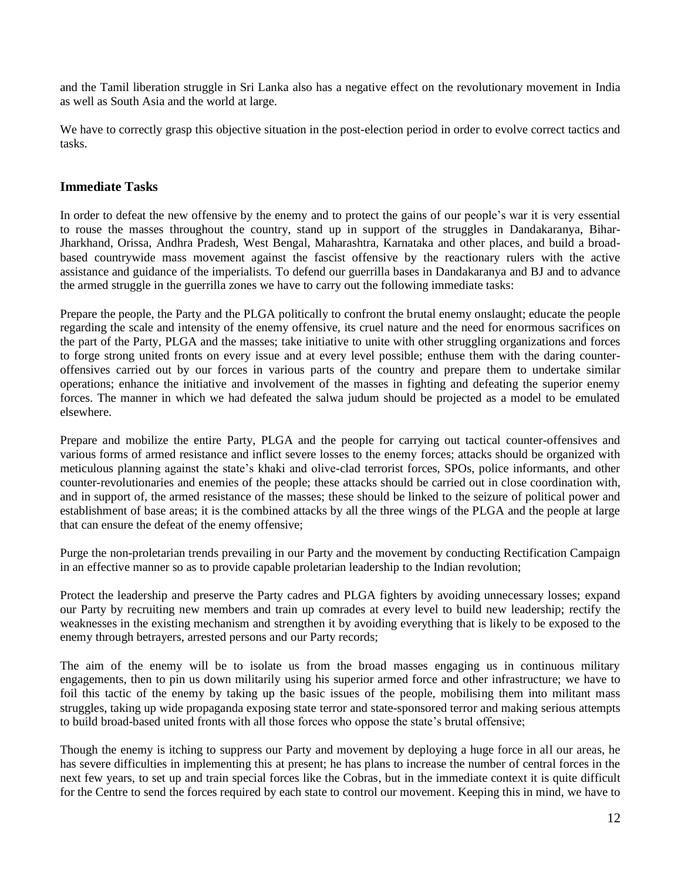and the Tamil liberation struggle in Sri Lanka also has a negative effect on the revolutionary movement in India as well as South Asia and the world at large.

We have to correctly grasp this objective situation in the post-election period in order to evolve correct tactics and tasks.

## **Immediate Tasks**

In order to defeat the new offensive by the enemy and to protect the gains of our people"s war it is very essential to rouse the masses throughout the country, stand up in support of the struggles in Dandakaranya, Bihar-Jharkhand, Orissa, Andhra Pradesh, West Bengal, Maharashtra, Karnataka and other places, and build a broadbased countrywide mass movement against the fascist offensive by the reactionary rulers with the active assistance and guidance of the imperialists. To defend our guerrilla bases in Dandakaranya and BJ and to advance the armed struggle in the guerrilla zones we have to carry out the following immediate tasks:

Prepare the people, the Party and the PLGA politically to confront the brutal enemy onslaught; educate the people regarding the scale and intensity of the enemy offensive, its cruel nature and the need for enormous sacrifices on the part of the Party, PLGA and the masses; take initiative to unite with other struggling organizations and forces to forge strong united fronts on every issue and at every level possible; enthuse them with the daring counteroffensives carried out by our forces in various parts of the country and prepare them to undertake similar operations; enhance the initiative and involvement of the masses in fighting and defeating the superior enemy forces. The manner in which we had defeated the salwa judum should be projected as a model to be emulated elsewhere.

Prepare and mobilize the entire Party, PLGA and the people for carrying out tactical counter-offensives and various forms of armed resistance and inflict severe losses to the enemy forces; attacks should be organized with meticulous planning against the state's khaki and olive-clad terrorist forces, SPOs, police informants, and other counter-revolutionaries and enemies of the people; these attacks should be carried out in close coordination with, and in support of, the armed resistance of the masses; these should be linked to the seizure of political power and establishment of base areas; it is the combined attacks by all the three wings of the PLGA and the people at large that can ensure the defeat of the enemy offensive;

Purge the non-proletarian trends prevailing in our Party and the movement by conducting Rectification Campaign in an effective manner so as to provide capable proletarian leadership to the Indian revolution;

Protect the leadership and preserve the Party cadres and PLGA fighters by avoiding unnecessary losses; expand our Party by recruiting new members and train up comrades at every level to build new leadership; rectify the weaknesses in the existing mechanism and strengthen it by avoiding everything that is likely to be exposed to the enemy through betrayers, arrested persons and our Party records;

The aim of the enemy will be to isolate us from the broad masses engaging us in continuous military engagements, then to pin us down militarily using his superior armed force and other infrastructure; we have to foil this tactic of the enemy by taking up the basic issues of the people, mobilising them into militant mass struggles, taking up wide propaganda exposing state terror and state-sponsored terror and making serious attempts to build broad-based united fronts with all those forces who oppose the state"s brutal offensive;

Though the enemy is itching to suppress our Party and movement by deploying a huge force in all our areas, he has severe difficulties in implementing this at present; he has plans to increase the number of central forces in the next few years, to set up and train special forces like the Cobras, but in the immediate context it is quite difficult for the Centre to send the forces required by each state to control our movement. Keeping this in mind, we have to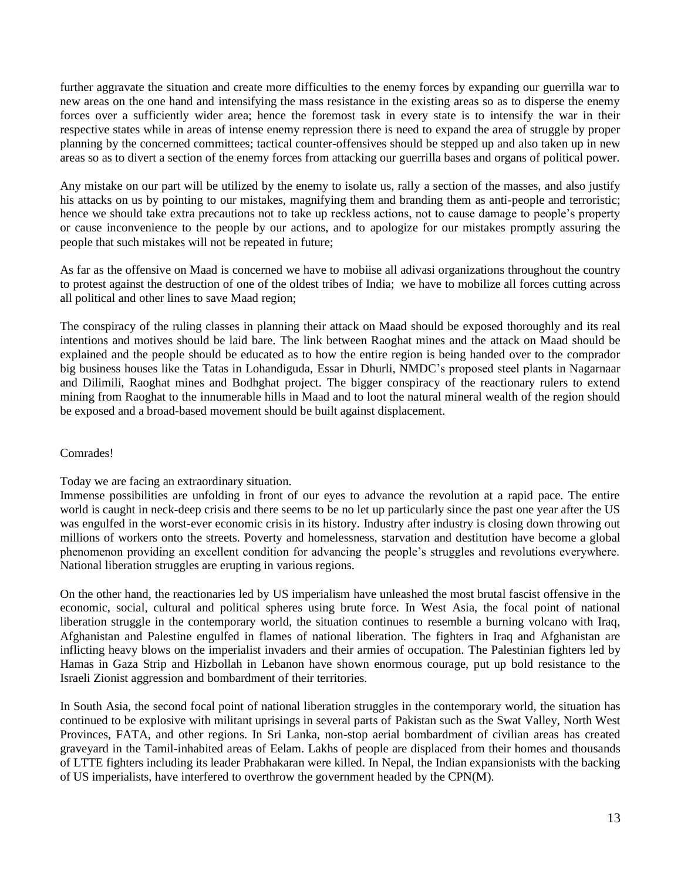further aggravate the situation and create more difficulties to the enemy forces by expanding our guerrilla war to new areas on the one hand and intensifying the mass resistance in the existing areas so as to disperse the enemy forces over a sufficiently wider area; hence the foremost task in every state is to intensify the war in their respective states while in areas of intense enemy repression there is need to expand the area of struggle by proper planning by the concerned committees; tactical counter-offensives should be stepped up and also taken up in new areas so as to divert a section of the enemy forces from attacking our guerrilla bases and organs of political power.

Any mistake on our part will be utilized by the enemy to isolate us, rally a section of the masses, and also justify his attacks on us by pointing to our mistakes, magnifying them and branding them as anti-people and terroristic; hence we should take extra precautions not to take up reckless actions, not to cause damage to people's property or cause inconvenience to the people by our actions, and to apologize for our mistakes promptly assuring the people that such mistakes will not be repeated in future;

As far as the offensive on Maad is concerned we have to mobiise all adivasi organizations throughout the country to protest against the destruction of one of the oldest tribes of India; we have to mobilize all forces cutting across all political and other lines to save Maad region;

The conspiracy of the ruling classes in planning their attack on Maad should be exposed thoroughly and its real intentions and motives should be laid bare. The link between Raoghat mines and the attack on Maad should be explained and the people should be educated as to how the entire region is being handed over to the comprador big business houses like the Tatas in Lohandiguda, Essar in Dhurli, NMDC"s proposed steel plants in Nagarnaar and Dilimili, Raoghat mines and Bodhghat project. The bigger conspiracy of the reactionary rulers to extend mining from Raoghat to the innumerable hills in Maad and to loot the natural mineral wealth of the region should be exposed and a broad-based movement should be built against displacement.

# Comrades!

Today we are facing an extraordinary situation.

Immense possibilities are unfolding in front of our eyes to advance the revolution at a rapid pace. The entire world is caught in neck-deep crisis and there seems to be no let up particularly since the past one year after the US was engulfed in the worst-ever economic crisis in its history. Industry after industry is closing down throwing out millions of workers onto the streets. Poverty and homelessness, starvation and destitution have become a global phenomenon providing an excellent condition for advancing the people's struggles and revolutions everywhere. National liberation struggles are erupting in various regions.

On the other hand, the reactionaries led by US imperialism have unleashed the most brutal fascist offensive in the economic, social, cultural and political spheres using brute force. In West Asia, the focal point of national liberation struggle in the contemporary world, the situation continues to resemble a burning volcano with Iraq, Afghanistan and Palestine engulfed in flames of national liberation. The fighters in Iraq and Afghanistan are inflicting heavy blows on the imperialist invaders and their armies of occupation. The Palestinian fighters led by Hamas in Gaza Strip and Hizbollah in Lebanon have shown enormous courage, put up bold resistance to the Israeli Zionist aggression and bombardment of their territories.

In South Asia, the second focal point of national liberation struggles in the contemporary world, the situation has continued to be explosive with militant uprisings in several parts of Pakistan such as the Swat Valley, North West Provinces, FATA, and other regions. In Sri Lanka, non-stop aerial bombardment of civilian areas has created graveyard in the Tamil-inhabited areas of Eelam. Lakhs of people are displaced from their homes and thousands of LTTE fighters including its leader Prabhakaran were killed. In Nepal, the Indian expansionists with the backing of US imperialists, have interfered to overthrow the government headed by the CPN(M).